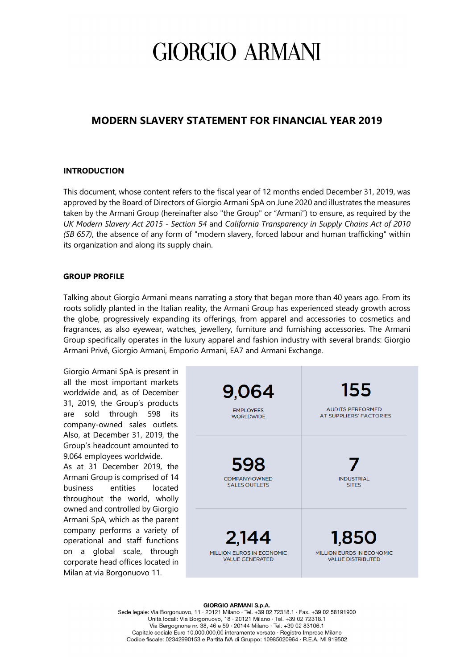### **MODERN SLAVERY STATEMENT FOR FINANCIAL YEAR 2019**

#### **INTRODUCTION**

This document, whose content refers to the fiscal year of 12 months ended December 31, 2019, was approved by the Board of Directors of Giorgio Armani SpA on June 2020 and illustrates the measures taken by the Armani Group (hereinafter also "the Group" or "Armani") to ensure, as required by the *UK Modern Slavery Act 2015 - Section 54* and *California Transparency in Supply Chains Act of 2010 (SB 657)*, the absence of any form of "modern slavery, forced labour and human trafficking" within its organization and along its supply chain.

#### **GROUP PROFILE**

Talking about Giorgio Armani means narrating a story that began more than 40 years ago. From its roots solidly planted in the Italian reality, the Armani Group has experienced steady growth across the globe, progressively expanding its offerings, from apparel and accessories to cosmetics and fragrances, as also eyewear, watches, jewellery, furniture and furnishing accessories. The Armani Group specifically operates in the luxury apparel and fashion industry with several brands: Giorgio Armani Privé, Giorgio Armani, Emporio Armani, EA7 and Armani Exchange.

| Giorgio Armani SpA is present in<br>all the most important markets<br>worldwide and, as of December<br>31, 2019, the Group's products<br>sold through 598 its<br>are<br>company-owned sales outlets.<br>Also, at December 31, 2019, the<br>Group's headcount amounted to<br>9,064 employees worldwide.<br>As at 31 December 2019, the<br>Armani Group is comprised of 14<br>business<br>entities<br>located<br>throughout the world, wholly<br>owned and controlled by Giorgio<br>Armani SpA, which as the parent<br>company performs a variety of<br>operational and staff functions<br>on a global scale, through<br>corporate head offices located in<br>Milan at via Borgonuovo 11. | 9,064<br><b>EMPLOYEES</b><br><b>WORLDWIDE</b>                | 155<br><b>AUDITS PERFORMED</b><br><b>AT SUPPLIERS' FACTORIES</b> |
|-----------------------------------------------------------------------------------------------------------------------------------------------------------------------------------------------------------------------------------------------------------------------------------------------------------------------------------------------------------------------------------------------------------------------------------------------------------------------------------------------------------------------------------------------------------------------------------------------------------------------------------------------------------------------------------------|--------------------------------------------------------------|------------------------------------------------------------------|
|                                                                                                                                                                                                                                                                                                                                                                                                                                                                                                                                                                                                                                                                                         | 598<br><b>COMPANY-OWNED</b><br><b>SALES OUTLETS</b>          | <b>INDUSTRIAL</b><br><b>SITES</b>                                |
|                                                                                                                                                                                                                                                                                                                                                                                                                                                                                                                                                                                                                                                                                         | 2,144<br>MILLION EUROS IN ECONOMIC<br><b>VALUE GENERATED</b> | 1.850<br>MILLION EUROS IN ECONOMIC<br><b>VALUE DISTRIBUTED</b>   |

#### **GIORGIO ARMANI S.p.A.**

Sede legale: Via Borgonuovo, 11 · 20121 Milano · Tel. +39 02 72318.1 · Fax. +39 02 58191900 Unità locali: Via Borgonuovo, 18 · 20121 Milano · Tel. +39 02 72318.1 Via Bergognone nr. 38, 46 e 59 · 20144 Milano · Tel. +39 02 83106.1 Capitale sociale Euro 10.000.000,00 interamente versato · Registro Imprese Milano Codice fiscale: 02342990153 e Partita IVA di Gruppo: 10985020964 · R.E.A. MI 919502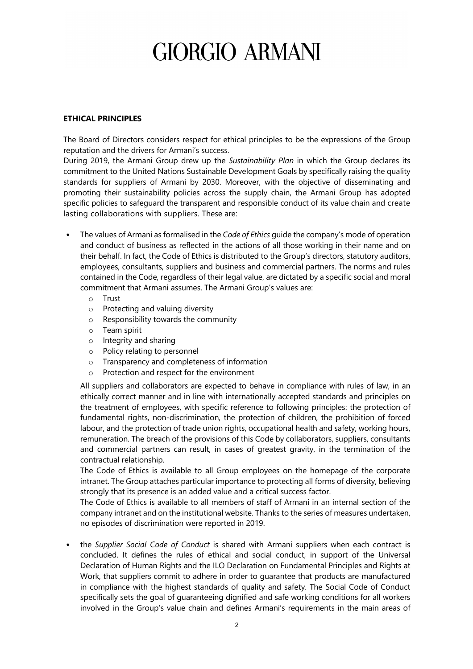#### **ETHICAL PRINCIPLES**

The Board of Directors considers respect for ethical principles to be the expressions of the Group reputation and the drivers for Armani's success.

During 2019, the Armani Group drew up the *Sustainability Plan* in which the Group declares its commitment to the United Nations Sustainable Development Goals by specifically raising the quality standards for suppliers of Armani by 2030. Moreover, with the objective of disseminating and promoting their sustainability policies across the supply chain, the Armani Group has adopted specific policies to safeguard the transparent and responsible conduct of its value chain and create lasting collaborations with suppliers. These are:

- The values of Armani as formalised in the *Code of Ethics* guide the company's mode of operation and conduct of business as reflected in the actions of all those working in their name and on their behalf. In fact, the Code of Ethics is distributed to the Group's directors, statutory auditors, employees, consultants, suppliers and business and commercial partners. The norms and rules contained in the Code, regardless of their legal value, are dictated by a specific social and moral commitment that Armani assumes. The Armani Group's values are:
	- o Trust
	- o Protecting and valuing diversity
	- o Responsibility towards the community
	- o Team spirit
	- o Integrity and sharing
	- o Policy relating to personnel
	- o Transparency and completeness of information
	- o Protection and respect for the environment

All suppliers and collaborators are expected to behave in compliance with rules of law, in an ethically correct manner and in line with internationally accepted standards and principles on the treatment of employees, with specific reference to following principles: the protection of fundamental rights, non-discrimination, the protection of children, the prohibition of forced labour, and the protection of trade union rights, occupational health and safety, working hours, remuneration. The breach of the provisions of this Code by collaborators, suppliers, consultants and commercial partners can result, in cases of greatest gravity, in the termination of the contractual relationship.

The Code of Ethics is available to all Group employees on the homepage of the corporate intranet. The Group attaches particular importance to protecting all forms of diversity, believing strongly that its presence is an added value and a critical success factor.

The Code of Ethics is available to all members of staff of Armani in an internal section of the company intranet and on the institutional website. Thanks to the series of measures undertaken, no episodes of discrimination were reported in 2019.

• the *Supplier Social Code of Conduct* is shared with Armani suppliers when each contract is concluded. It defines the rules of ethical and social conduct, in support of the Universal Declaration of Human Rights and the ILO Declaration on Fundamental Principles and Rights at Work, that suppliers commit to adhere in order to guarantee that products are manufactured in compliance with the highest standards of quality and safety. The Social Code of Conduct specifically sets the goal of guaranteeing dignified and safe working conditions for all workers involved in the Group's value chain and defines Armani's requirements in the main areas of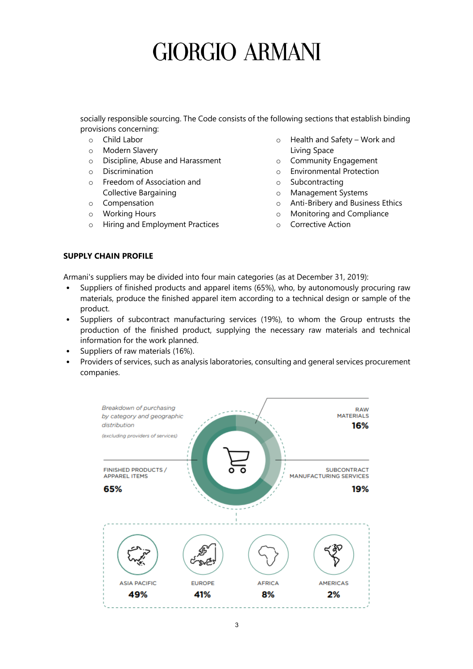socially responsible sourcing. The Code consists of the following sections that establish binding provisions concerning:

- o Child Labor
- o Modern Slavery
- o Discipline, Abuse and Harassment
- o Discrimination
- o Freedom of Association and Collective Bargaining
- o Compensation
- o Working Hours
- o Hiring and Employment Practices
- o Health and Safety Work and Living Space
- o Community Engagement
- o Environmental Protection
- o Subcontracting
- o Management Systems
- o Anti-Bribery and Business Ethics
- o Monitoring and Compliance
- o Corrective Action

### **SUPPLY CHAIN PROFILE**

Armani's suppliers may be divided into four main categories (as at December 31, 2019):

- Suppliers of finished products and apparel items (65%), who, by autonomously procuring raw materials, produce the finished apparel item according to a technical design or sample of the product.
- Suppliers of subcontract manufacturing services (19%), to whom the Group entrusts the production of the finished product, supplying the necessary raw materials and technical information for the work planned.
- Suppliers of raw materials (16%).
- Providers of services, such as analysis laboratories, consulting and general services procurement companies.

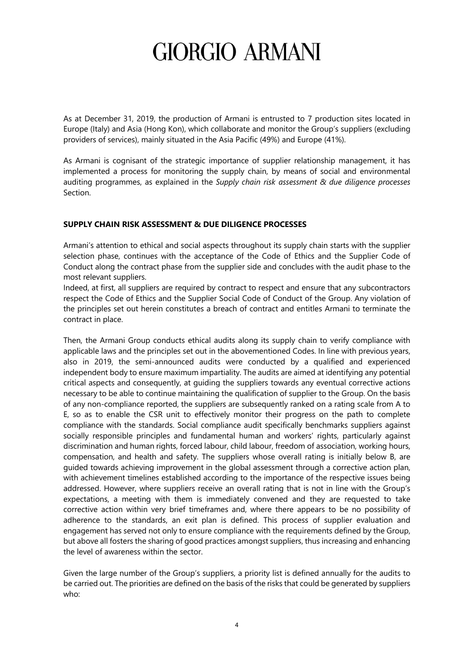As at December 31, 2019, the production of Armani is entrusted to 7 production sites located in Europe (Italy) and Asia (Hong Kon), which collaborate and monitor the Group's suppliers (excluding providers of services), mainly situated in the Asia Pacific (49%) and Europe (41%).

As Armani is cognisant of the strategic importance of supplier relationship management, it has implemented a process for monitoring the supply chain, by means of social and environmental auditing programmes, as explained in the *Supply chain risk assessment & due diligence processes* Section.

### **SUPPLY CHAIN RISK ASSESSMENT & DUE DILIGENCE PROCESSES**

Armani's attention to ethical and social aspects throughout its supply chain starts with the supplier selection phase, continues with the acceptance of the Code of Ethics and the Supplier Code of Conduct along the contract phase from the supplier side and concludes with the audit phase to the most relevant suppliers.

Indeed, at first, all suppliers are required by contract to respect and ensure that any subcontractors respect the Code of Ethics and the Supplier Social Code of Conduct of the Group. Any violation of the principles set out herein constitutes a breach of contract and entitles Armani to terminate the contract in place.

Then, the Armani Group conducts ethical audits along its supply chain to verify compliance with applicable laws and the principles set out in the abovementioned Codes. In line with previous years, also in 2019, the semi-announced audits were conducted by a qualified and experienced independent body to ensure maximum impartiality. The audits are aimed at identifying any potential critical aspects and consequently, at guiding the suppliers towards any eventual corrective actions necessary to be able to continue maintaining the qualification of supplier to the Group. On the basis of any non-compliance reported, the suppliers are subsequently ranked on a rating scale from A to E, so as to enable the CSR unit to effectively monitor their progress on the path to complete compliance with the standards. Social compliance audit specifically benchmarks suppliers against socially responsible principles and fundamental human and workers' rights, particularly against discrimination and human rights, forced labour, child labour, freedom of association, working hours, compensation, and health and safety. The suppliers whose overall rating is initially below B, are guided towards achieving improvement in the global assessment through a corrective action plan, with achievement timelines established according to the importance of the respective issues being addressed. However, where suppliers receive an overall rating that is not in line with the Group's expectations, a meeting with them is immediately convened and they are requested to take corrective action within very brief timeframes and, where there appears to be no possibility of adherence to the standards, an exit plan is defined. This process of supplier evaluation and engagement has served not only to ensure compliance with the requirements defined by the Group, but above all fosters the sharing of good practices amongst suppliers, thus increasing and enhancing the level of awareness within the sector.

Given the large number of the Group's suppliers, a priority list is defined annually for the audits to be carried out. The priorities are defined on the basis of the risks that could be generated by suppliers who: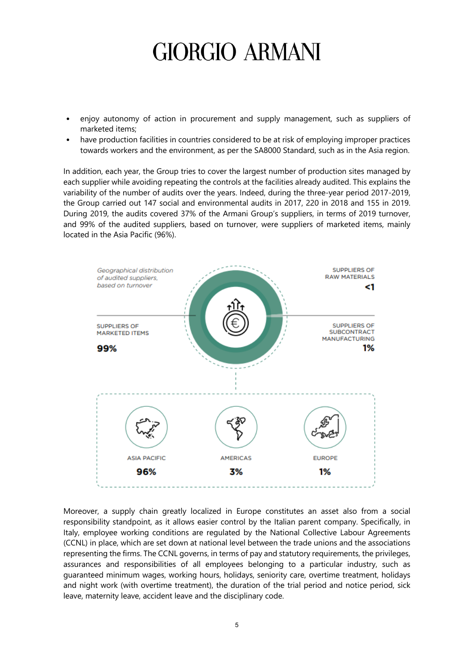- enjoy autonomy of action in procurement and supply management, such as suppliers of marketed items;
- have production facilities in countries considered to be at risk of employing improper practices towards workers and the environment, as per the SA8000 Standard, such as in the Asia region.

In addition, each year, the Group tries to cover the largest number of production sites managed by each supplier while avoiding repeating the controls at the facilities already audited. This explains the variability of the number of audits over the years. Indeed, during the three-year period 2017-2019, the Group carried out 147 social and environmental audits in 2017, 220 in 2018 and 155 in 2019. During 2019, the audits covered 37% of the Armani Group's suppliers, in terms of 2019 turnover, and 99% of the audited suppliers, based on turnover, were suppliers of marketed items, mainly located in the Asia Pacific (96%).



Moreover, a supply chain greatly localized in Europe constitutes an asset also from a social responsibility standpoint, as it allows easier control by the Italian parent company. Specifically, in Italy, employee working conditions are regulated by the National Collective Labour Agreements (CCNL) in place, which are set down at national level between the trade unions and the associations representing the firms. The CCNL governs, in terms of pay and statutory requirements, the privileges, assurances and responsibilities of all employees belonging to a particular industry, such as guaranteed minimum wages, working hours, holidays, seniority care, overtime treatment, holidays and night work (with overtime treatment), the duration of the trial period and notice period, sick leave, maternity leave, accident leave and the disciplinary code.